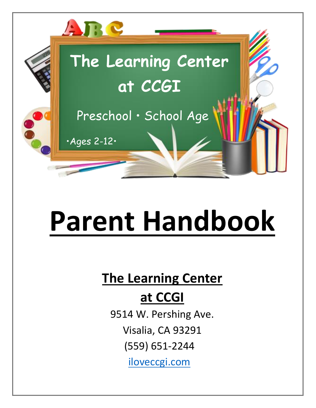

# **Parent Handbook**

# **The Learning Center**

# **at CCGI**

9514 W. Pershing Ave. Visalia, CA 93291 (559) 651-2244 [iloveccgi.com](mailto:iloveccgi@gmail.com)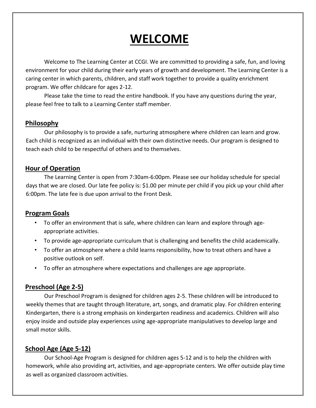# **WELCOME**

Welcome to The Learning Center at CCGI. We are committed to providing a safe, fun, and loving environment for your child during their early years of growth and development. The Learning Center is a caring center in which parents, children, and staff work together to provide a quality enrichment program. We offer childcare for ages 2-12.

Please take the time to read the entire handbook. If you have any questions during the year, please feel free to talk to a Learning Center staff member.

# **Philosophy**

Our philosophy is to provide a safe, nurturing atmosphere where children can learn and grow. Each child is recognized as an individual with their own distinctive needs. Our program is designed to teach each child to be respectful of others and to themselves.

# **Hour of Operation**

The Learning Center is open from 7:30am-6:00pm. Please see our holiday schedule for special days that we are closed. Our late fee policy is: \$1.00 per minute per child if you pick up your child after 6:00pm. The late fee is due upon arrival to the Front Desk.

# **Program Goals**

- To offer an environment that is safe, where children can learn and explore through ageappropriate activities.
- To provide age-appropriate curriculum that is challenging and benefits the child academically.
- To offer an atmosphere where a child learns responsibility, how to treat others and have a positive outlook on self.
- To offer an atmosphere where expectations and challenges are age appropriate.

# **Preschool (Age 2-5)**

Our Preschool Program is designed for children ages 2-5. These children will be introduced to weekly themes that are taught through literature, art, songs, and dramatic play. For children entering Kindergarten, there is a strong emphasis on kindergarten readiness and academics. Children will also enjoy inside and outside play experiences using age-appropriate manipulatives to develop large and small motor skills.

# **School Age (Age 5-12)**

Our School-Age Program is designed for children ages 5-12 and is to help the children with homework, while also providing art, activities, and age-appropriate centers. We offer outside play time as well as organized classroom activities.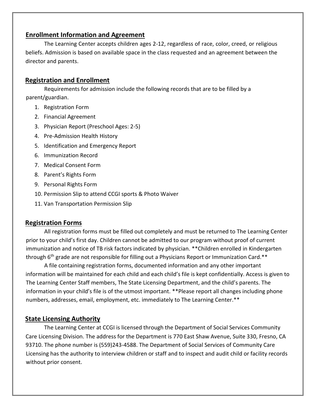# **Enrollment Information and Agreement**

The Learning Center accepts children ages 2-12, regardless of race, color, creed, or religious beliefs. Admission is based on available space in the class requested and an agreement between the director and parents.

# **Registration and Enrollment**

Requirements for admission include the following records that are to be filled by a parent/guardian.

- 1. Registration Form
- 2. Financial Agreement
- 3. Physician Report (Preschool Ages: 2-5)
- 4. Pre-Admission Health History
- 5. Identification and Emergency Report
- 6. Immunization Record
- 7. Medical Consent Form
- 8. Parent's Rights Form
- 9. Personal Rights Form
- 10. Permission Slip to attend CCGI sports & Photo Waiver
- 11. Van Transportation Permission Slip

# **Registration Forms**

All registration forms must be filled out completely and must be returned to The Learning Center prior to your child's first day. Children cannot be admitted to our program without proof of current immunization and notice of TB risk factors indicated by physician. \*\*Children enrolled in Kindergarten through  $6<sup>th</sup>$  grade are not responsible for filling out a Physicians Report or Immunization Card.\*\*

A file containing registration forms, documented information and any other important information will be maintained for each child and each child's file is kept confidentially. Access is given to The Learning Center Staff members, The State Licensing Department, and the child's parents. The information in your child's file is of the utmost important. \*\*Please report all changes including phone numbers, addresses, email, employment, etc. immediately to The Learning Center.\*\*

# **State Licensing Authority**

The Learning Center at CCGI is licensed through the Department of Social Services Community Care Licensing Division. The address for the Department is 770 East Shaw Avenue, Suite 330, Fresno, CA 93710. The phone number is (559)243-4588. The Department of Social Services of Community Care Licensing has the authority to interview children or staff and to inspect and audit child or facility records without prior consent.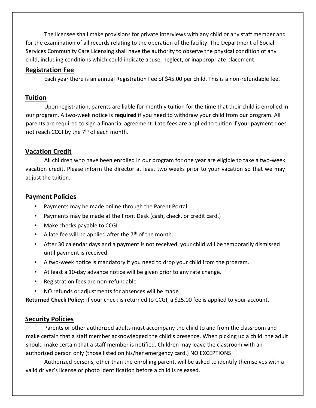The licensee shall make provisions for private interviews with any child or any staff member and for the examination of all records relating to the operation of the facility. The Department of Social Services Community Care Licensing shall have the authority to observe the physical condition of any child, including conditions which could indicate abuse, neglect, or inappropriate placement.

# **Registration Fee**

Each year there is an annual Registration Fee of \$45.00 per child. This is a non-refundable fee.

# **Tuition**

Upon registration, parents are liable for monthly tuition for the time that their child is enrolled in our program. A two-week notice is **required** if you need to withdraw your child from our program. All parents are required to sign a financial agreement. Late fees are applied to tuition if your payment does not reach CCGI by the 7<sup>th</sup> of each month.

# **Vacation Credit**

All children who have been enrolled in our program for one year are eligible to take a two-week vacation credit. Please inform the director at least two weeks prior to your vacation so that we may adjust the tuition.

# **Payment Policies**

- Payments may be made online through the Parent Portal.
- Payments may be made at the Front Desk (cash, check, or credit card.)
- Make checks payable to CCGI.
- A late fee will be applied after the  $7<sup>th</sup>$  of the month.
- After 30 calendar days and a payment is not received, your child will be temporarily dismissed until payment is received.
- A two-week notice is mandatory if you need to drop your child from the program.
- At least a 10-day advance notice will be given prior to any rate change.
- Registration fees are non-refundable
- NO refunds or adjustments for absences will be made

**Returned Check Policy:** If your check is returned to CCGI, a \$25.00 fee is applied to your account.

# **Security Policies**

Parents or other authorized adults must accompany the child to and from the classroom and make certain that a staff member acknowledged the child's presence. When picking up a child, the adult should make certain that a staff member is notified. Children may leave the classroom with an authorized person only (those listed on his/her emergency card.) NO EXCEPTIONS!

Authorized persons, other than the enrolling parent, will be asked to identify themselves with a valid driver's license or photo identification before a child is released.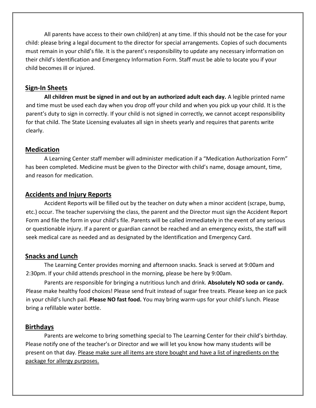All parents have access to their own child(ren) at any time. If this should not be the case for your child: please bring a legal document to the director for special arrangements. Copies of such documents must remain in your child's file. It is the parent's responsibility to update any necessary information on their child's Identification and Emergency Information Form. Staff must be able to locate you if your child becomes ill or injured.

## **Sign-In Sheets**

**All children must be signed in and out by an authorized adult each day.** A legible printed name and time must be used each day when you drop off your child and when you pick up your child. It is the parent's duty to sign in correctly. If your child is not signed in correctly, we cannot accept responsibility for that child. The State Licensing evaluates all sign in sheets yearly and requires that parents write clearly.

#### **Medication**

A Learning Center staff member will administer medication if a "Medication Authorization Form" has been completed. Medicine must be given to the Director with child's name, dosage amount, time, and reason for medication.

#### **Accidents and Injury Reports**

Accident Reports will be filled out by the teacher on duty when a minor accident (scrape, bump, etc.) occur. The teacher supervising the class, the parent and the Director must sign the Accident Report Form and file the form in your child's file. Parents will be called immediately in the event of any serious or questionable injury. If a parent or guardian cannot be reached and an emergency exists, the staff will seek medical care as needed and as designated by the Identification and Emergency Card.

#### **Snacks and Lunch**

The Learning Center provides morning and afternoon snacks. Snack is served at 9:00am and 2:30pm. If your child attends preschool in the morning, please be here by 9:00am.

Parents are responsible for bringing a nutritious lunch and drink. **Absolutely NO soda or candy.**  Please make healthy food choices! Please send fruit instead of sugar free treats. Please keep an ice pack in your child's lunch pail. **Please NO fast food.** You may bring warm-ups for your child's lunch. Please bring a refillable water bottle.

# **Birthdays**

Parents are welcome to bring something special to The Learning Center for their child's birthday. Please notify one of the teacher's or Director and we will let you know how many students will be present on that day. Please make sure all items are store bought and have a list of ingredients on the package for allergy purposes.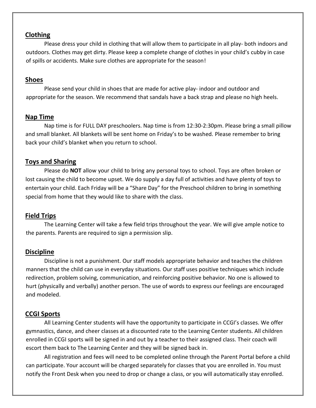#### **Clothing**

Please dress your child in clothing that will allow them to participate in all play- both indoors and outdoors. Clothes may get dirty. Please keep a complete change of clothes in your child's cubby in case of spills or accidents. Make sure clothes are appropriate for the season!

# **Shoes**

Please send your child in shoes that are made for active play- indoor and outdoor and appropriate for the season. We recommend that sandals have a back strap and please no high heels.

# **Nap Time**

Nap time is for FULL DAY preschoolers. Nap time is from 12:30-2:30pm. Please bring a small pillow and small blanket. All blankets will be sent home on Friday's to be washed. Please remember to bring back your child's blanket when you return to school.

# **Toys and Sharing**

Please do **NOT** allow your child to bring any personal toys to school. Toys are often broken or lost causing the child to become upset. We do supply a day full of activities and have plenty of toys to entertain your child. Each Friday will be a "Share Day" for the Preschool children to bring in something special from home that they would like to share with the class.

# **Field Trips**

The Learning Center will take a few field trips throughout the year. We will give ample notice to the parents. Parents are required to sign a permission slip.

# **Discipline**

Discipline is not a punishment. Our staff models appropriate behavior and teaches the children manners that the child can use in everyday situations. Our staff uses positive techniques which include redirection, problem solving, communication, and reinforcing positive behavior. No one is allowed to hurt (physically and verbally) another person. The use of words to express our feelings are encouraged and modeled.

# **CCGI Sports**

All Learning Center students will have the opportunity to participate in CCGI's classes. We offer gymnastics, dance, and cheer classes at a discounted rate to the Learning Center students. All children enrolled in CCGI sports will be signed in and out by a teacher to their assigned class. Their coach will escort them back to The Learning Center and they will be signed back in.

All registration and fees will need to be completed online through the Parent Portal before a child can participate. Your account will be charged separately for classes that you are enrolled in. You must notify the Front Desk when you need to drop or change a class, or you will automatically stay enrolled.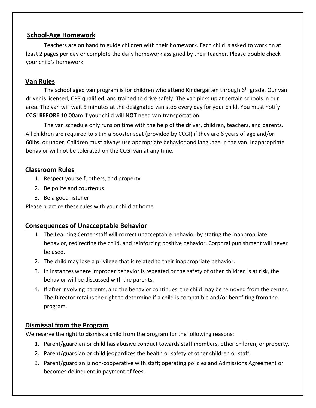# **School-Age Homework**

Teachers are on hand to guide children with their homework. Each child is asked to work on at least 2 pages per day or complete the daily homework assigned by their teacher. Please double check your child's homework.

# **Van Rules**

The school aged van program is for children who attend Kindergarten through  $6<sup>th</sup>$  grade. Our van driver is licensed, CPR qualified, and trained to drive safely. The van picks up at certain schools in our area. The van will wait 5 minutes at the designated van stop every day for your child. You must notify CCGI **BEFORE** 10:00am if your child will **NOT** need van transportation.

The van schedule only runs on time with the help of the driver, children, teachers, and parents. All children are required to sit in a booster seat (provided by CCGI) if they are 6 years of age and/or 60lbs. or under. Children must always use appropriate behavior and language in the van. Inappropriate behavior will not be tolerated on the CCGI van at any time.

# **Classroom Rules**

- 1. Respect yourself, others, and property
- 2. Be polite and courteous
- 3. Be a good listener

Please practice these rules with your child at home.

# **Consequences of Unacceptable Behavior**

- 1. The Learning Center staff will correct unacceptable behavior by stating the inappropriate behavior, redirecting the child, and reinforcing positive behavior. Corporal punishment will never be used.
- 2. The child may lose a privilege that is related to their inappropriate behavior.
- 3. In instances where improper behavior is repeated or the safety of other children is at risk, the behavior will be discussed with the parents.
- 4. If after involving parents, and the behavior continues, the child may be removed from the center. The Director retains the right to determine if a child is compatible and/or benefiting from the program.

# **Dismissal from the Program**

We reserve the right to dismiss a child from the program for the following reasons:

- 1. Parent/guardian or child has abusive conduct towards staff members, other children, or property.
- 2. Parent/guardian or child jeopardizes the health or safety of other children or staff.
- 3. Parent/guardian is non-cooperative with staff; operating policies and Admissions Agreement or becomes delinquent in payment of fees.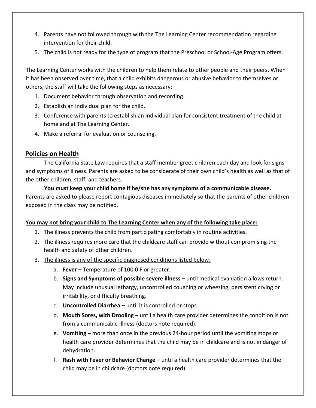- 4. Parents have not followed through with the The Learning Center recommendation regarding intervention for their child.
- 5. The child is not ready for the type of program that the Preschool or School-Age Program offers.

The Learning Center works with the children to help them relate to other people and their peers. When it has been observed over time, that a child exhibits dangerous or abusive behavior to themselves or others, the staff will take the following steps as necessary:

- 1. Document behavior through observation and recording.
- 2. Establish an individual plan for the child.
- 3. Conference with parents to establish an individual plan for consistent treatment of the child at home and at The Learning Center.
- 4. Make a referral for evaluation or counseling.

# **Policies on Health**

The California State Law requires that a staff member greet children each day and look for signs and symptoms of illness. Parents are asked to be considerate of their own child's health as well as that of the other children, staff, and teachers.

**You must keep your child home if he/she has any symptoms of a communicable disease.** Parents are asked to please report contagious diseases immediately so that the parents of other children exposed in the class may be notified.

#### **You may not bring your child to The Learning Center when any of the following take place:**

- 1. The illness prevents the child from participating comfortably in routine activities.
- 2. The illness requires more care that the childcare staff can provide without compromising the health and safety of other children.
- 3. The illness is any of the specific diagnosed conditions listed below:
	- a. **Fever –** Temperature of 100.0 F or greater.
	- b. **Signs and Symptoms of possible severe illness –** until medical evaluation allows return. May include unusual lethargy, uncontrolled coughing or wheezing, persistent crying or irritability, or difficulty breathing.
	- c. **Uncontrolled Diarrhea –** until it is controlled or stops.
	- d. **Mouth Sores, with Drooling –** until a health care provider determines the condition is not from a communicable illness (doctors note required).
	- e. **Vomiting –** more than once in the previous 24-hour period until the vomiting stops or health care provider determines that the child may be in childcare and is not in danger of dehydration.
	- f. **Rash with Fever or Behavior Change –** until a health care provider determines that the child may be in childcare (doctors note required).